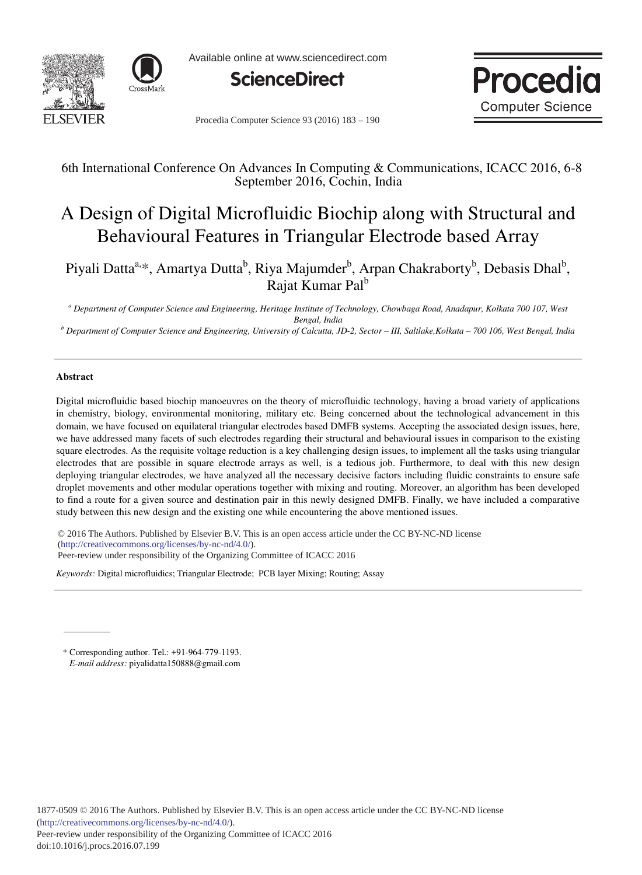



Available online at www.sciencedirect.com





Procedia Computer Science 93 (2016) 183 - 190

# 6th International Conference On Advances In Computing & Communications, ICACC 2016, 6-8 September 2016, Cochin, India

# A Design of Digital Microfluidic Biochip along with Structural and Behavioural Features in Triangular Electrode based Array

Piyali Datta<sup>a,\*</sup>, Amartya Dutta<sup>b</sup>, Riya Majumder<sup>b</sup>, Arpan Chakraborty<sup>b</sup>, Debasis Dhal<sup>b</sup>, Rajat Kumar Pal<sup>b</sup>

*a Department of Computer Science and Engineering, Heritage Institute of Technology, Chowbaga Road, Anadapur, Kolkata 700 107, West* 

*Bengal, India b Department of Computer Science and Engineering, University of Calcutta, JD-2, Sector ± III, Saltlake,Kolkata ± 700 106, West Bengal, India* 

#### **Abstract**

Digital microfluidic based biochip manoeuvres on the theory of microfluidic technology, having a broad variety of applications in chemistry, biology, environmental monitoring, military etc. Being concerned about the technological advancement in this domain, we have focused on equilateral triangular electrodes based DMFB systems. Accepting the associated design issues, here, we have addressed many facets of such electrodes regarding their structural and behavioural issues in comparison to the existing square electrodes. As the requisite voltage reduction is a key challenging design issues, to implement all the tasks using triangular electrodes that are possible in square electrode arrays as well, is a tedious job. Furthermore, to deal with this new design deploying triangular electrodes, we have analyzed all the necessary decisive factors including fluidic constraints to ensure safe droplet movements and other modular operations together with mixing and routing. Moreover, an algorithm has been developed to find a route for a given source and destination pair in this newly designed DMFB. Finally, we have included a comparative study between this new design and the existing one while encountering the above mentioned issues.

© 2016 The Authors. Published by Elsevier B.V. © 2016 The Authors. Published by Elsevier B.V. This is an open access article under the CC BY-NC-ND license Peer-review under responsibility of the Organizing Committee of ICACC 2016. Peer-review under responsibility of the Organizing Committee of ICACC 2016(http://creativecommons.org/licenses/by-nc-nd/4.0/).

*Keywords:* Digital microfluidics; Triangular Electrode; PCB layer Mixing; Routing; Assay

\* Corresponding author. Tel.: +91-964-779-1193. *E-mail address:* piyalidatta150888@gmail.com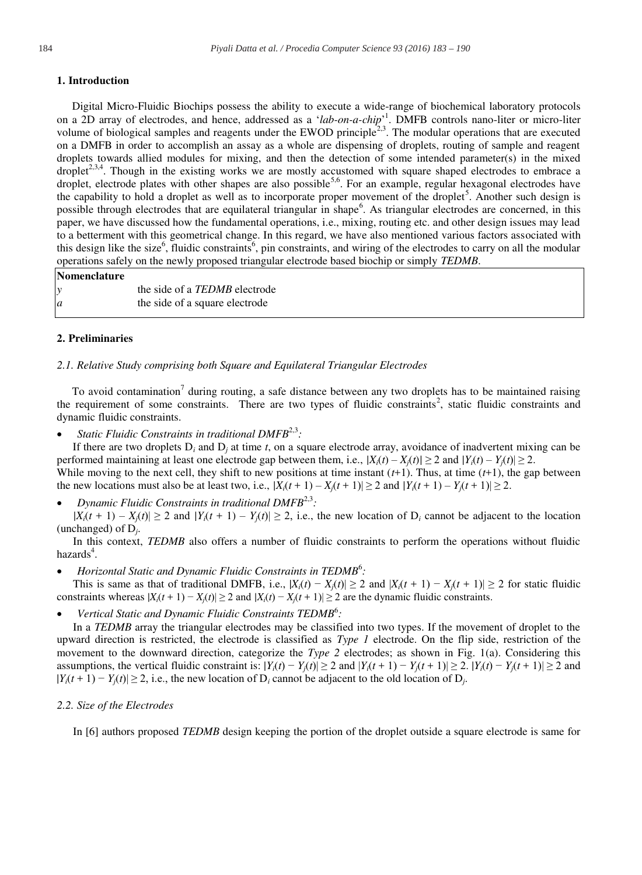#### **1. Introduction**

Digital Micro-Fluidic Biochips possess the ability to execute a wide-range of biochemical laboratory protocols on a 2D array of electrodes, and hence, addressed as a 'lab-on-a-chip'<sup>1</sup>. DMFB controls nano-liter or micro-liter volume of biological samples and reagents under the EWOD principle<sup>2,3</sup>. The modular operations that are executed on a DMFB in order to accomplish an assay as a whole are dispensing of droplets, routing of sample and reagent droplets towards allied modules for mixing, and then the detection of some intended parameter(s) in the mixed droplet<sup>2,3,4</sup>. Though in the existing works we are mostly accustomed with square shaped electrodes to embrace a droplet, electrode plates with other shapes are also possible<sup>5,6</sup>. For an example, regular hexagonal electrodes have the capability to hold a droplet as well as to incorporate proper movement of the droplet<sup>5</sup>. Another such design is possible through electrodes that are equilateral triangular in shape<sup>6</sup>. As triangular electrodes are concerned, in this paper, we have discussed how the fundamental operations, i.e., mixing, routing etc. and other design issues may lead to a betterment with this geometrical change. In this regard, we have also mentioned various factors associated with this design like the size<sup>6</sup>, fluidic constraints<sup>6</sup>, pin constraints, and wiring of the electrodes to carry on all the modular operations safely on the newly proposed triangular electrode based biochip or simply *TEDMB*.

#### **Nomenclature**

| $\mathcal{Y}$ | the side of a <i>TEDMB</i> electrode |
|---------------|--------------------------------------|
| a             | the side of a square electrode       |

#### **2. Preliminaries**

# *2.1. Relative Study comprising both Square and Equilateral Triangular Electrodes*

To avoid contamination<sup>7</sup> during routing, a safe distance between any two droplets has to be maintained raising the requirement of some constraints. There are two types of fluidic constraints<sup>2</sup>, static fluidic constraints and dynamic fluidic constraints.

Static Fluidic Constraints in traditional DMFB<sup>2,3</sup>:

If there are two droplets  $D_i$  and  $D_j$  at time *t*, on a square electrode array, avoidance of inadvertent mixing can be performed maintaining at least one electrode gap between them, i.e.,  $|X_i(t) - X_i(t)| \ge 2$  and  $|Y_i(t) - Y_i(t)| \ge 2$ . While moving to the next cell, they shift to new positions at time instant  $(t+1)$ . Thus, at time  $(t+1)$ , the gap between the new locations must also be at least two, i.e.,  $|X_i(t+1) - X_i(t+1)| \geq 2$  and  $|Y_i(t+1) - Y_i(t+1)| \geq 2$ .

x *Dynamic Fluidic Constraints in traditional DMFB*2,3*:* 

 $|X_i(t+1) - X_i(t)| \ge 2$  and  $|Y_i(t+1) - Y_i(t)| \ge 2$ , i.e., the new location of D<sub>i</sub> cannot be adjacent to the location (unchanged) of D*j*.

In this context, *TEDMB* also offers a number of fluidic constraints to perform the operations without fluidic hazards<sup>4</sup>.

• *Horizontal Static and Dynamic Fluidic Constraints in TEDMB<sup>6</sup>:* 

This is same as that of traditional DMFB, i.e.,  $|X_i(t) - X_i(t)| \geq 2$  and  $|X_i(t + 1) - X_i(t + 1)| \geq 2$  for static fluidic constraints whereas  $|X_i(t+1) - X_i(t)| \geq 2$  and  $|X_i(t) - X_i(t+1)| \geq 2$  are the dynamic fluidic constraints.

• Vertical Static and Dynamic Fluidic Constraints TEDMB<sup>6</sup>:

In a *TEDMB* array the triangular electrodes may be classified into two types. If the movement of droplet to the upward direction is restricted, the electrode is classified as *Type 1* electrode. On the flip side, restriction of the movement to the downward direction, categorize the *Type 2* electrodes; as shown in Fig. 1(a). Considering this assumptions, the vertical fluidic constraint is:  $|Y_i(t) - Y_i(t)| \geq 2$  and  $|Y_i(t+1) - Y_i(t+1)| \geq 2$ .  $|Y_i(t) - Y_i(t+1)| \geq 2$  and  $|Y_i(t+1) - Y_i(t)| \geq 2$ , i.e., the new location of D<sub>i</sub> cannot be adjacent to the old location of D<sub>i</sub>.

#### *2.2. Size of the Electrodes*

In [6] authors proposed *TEDMB* design keeping the portion of the droplet outside a square electrode is same for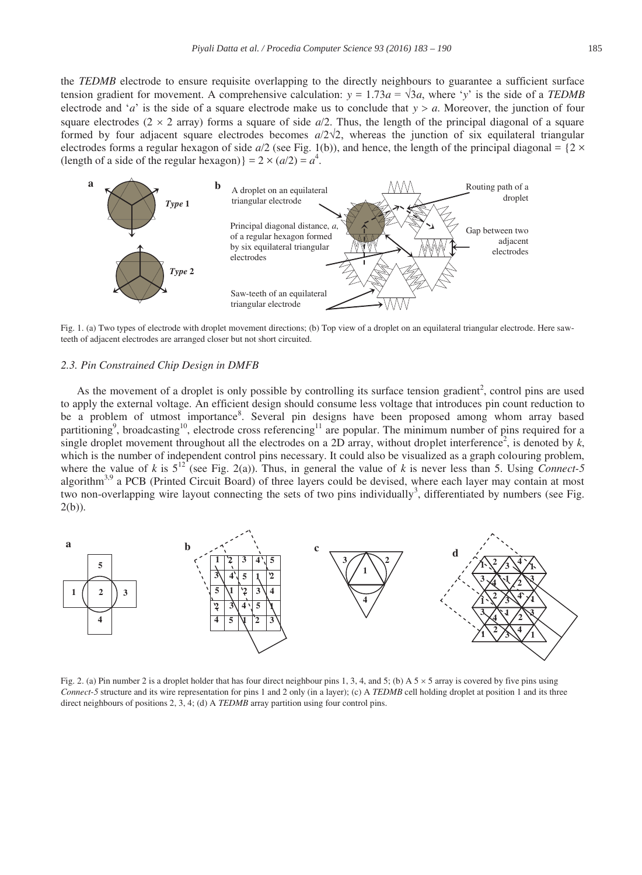the *TEDMB* electrode to ensure requisite overlapping to the directly neighbours to guarantee a sufficient surface tension gradient for movement. A comprehensive calculation:  $y = 1.73a = \sqrt{3}a$ , where 'y' is the side of a TEDMB electrode and '*a*' is the side of a square electrode make us to conclude that  $y > a$ . Moreover, the junction of four square electrodes (2  $\times$  2 array) forms a square of side  $a/2$ . Thus, the length of the principal diagonal of a square formed by four adjacent square electrodes becomes  $a/2\sqrt{2}$ , whereas the junction of six equilateral triangular electrodes forms a regular hexagon of side  $a/2$  (see Fig. 1(b)), and hence, the length of the principal diagonal =  $\{2 \times$ (length of a side of the regular hexagon)} =  $2 \times (a/2) = a^4$ .



Fig. 1. (a) Two types of electrode with droplet movement directions; (b) Top view of a droplet on an equilateral triangular electrode. Here sawteeth of adjacent electrodes are arranged closer but not short circuited.

## *2.3. Pin Constrained Chip Design in DMFB*

As the movement of a droplet is only possible by controlling its surface tension gradient<sup>2</sup>, control pins are used to apply the external voltage. An efficient design should consume less voltage that introduces pin count reduction to be a problem of utmost importance<sup>8</sup>. Several pin designs have been proposed among whom array based partitioning<sup>9</sup>, broadcasting<sup>10</sup>, electrode cross referencing<sup>11</sup> are popular. The minimum number of pins required for a single droplet movement throughout all the electrodes on a 2D array, without droplet interference<sup>2</sup>, is denoted by  $k$ , which is the number of independent control pins necessary. It could also be visualized as a graph colouring problem, where the value of *k* is  $5^{12}$  (see Fig. 2(a)). Thus, in general the value of *k* is never less than 5. Using *Connect-5* algorithm<sup>3,9</sup> a PCB (Printed Circuit Board) of three layers could be devised, where each layer may contain at most two non-overlapping wire layout connecting the sets of two pins individually<sup>3</sup>, differentiated by numbers (see Fig.  $2(b)$ ).



Fig. 2. (a) Pin number 2 is a droplet holder that has four direct neighbour pins 1, 3, 4, and 5; (b) A  $5 \times 5$  array is covered by five pins using *Connect-5* structure and its wire representation for pins 1 and 2 only (in a layer); (c) A *TEDMB* cell holding droplet at position 1 and its three direct neighbours of positions 2, 3, 4; (d) A *TEDMB* array partition using four control pins.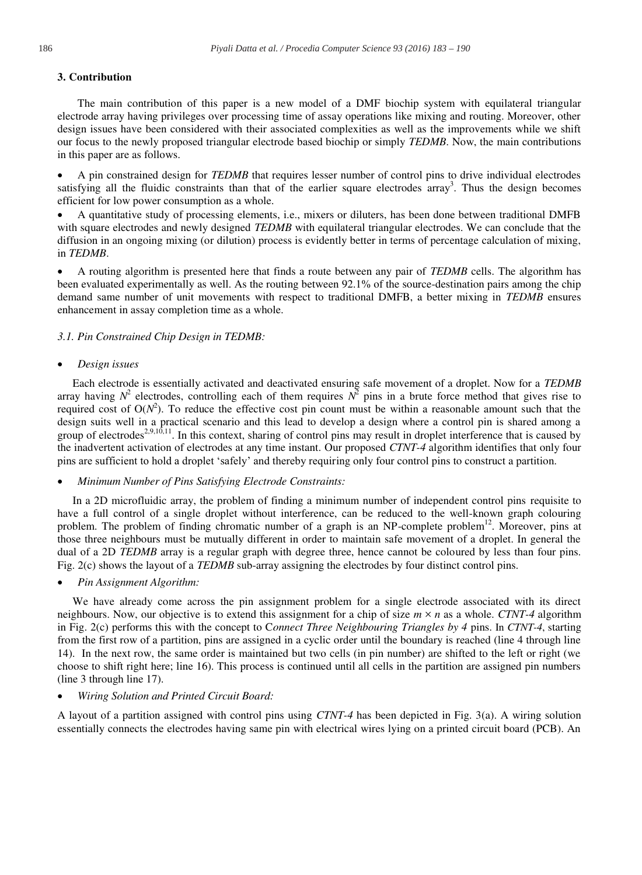## **3. Contribution**

The main contribution of this paper is a new model of a DMF biochip system with equilateral triangular electrode array having privileges over processing time of assay operations like mixing and routing. Moreover, other design issues have been considered with their associated complexities as well as the improvements while we shift our focus to the newly proposed triangular electrode based biochip or simply *TEDMB*. Now, the main contributions in this paper are as follows.

A pin constrained design for *TEDMB* that requires lesser number of control pins to drive individual electrodes satisfying all the fluidic constraints than that of the earlier square electrodes array<sup>3</sup>. Thus the design becomes efficient for low power consumption as a whole.

A quantitative study of processing elements, i.e., mixers or diluters, has been done between traditional DMFB with square electrodes and newly designed *TEDMB* with equilateral triangular electrodes. We can conclude that the diffusion in an ongoing mixing (or dilution) process is evidently better in terms of percentage calculation of mixing, in *TEDMB*.

x A routing algorithm is presented here that finds a route between any pair of *TEDMB* cells. The algorithm has been evaluated experimentally as well. As the routing between 92.1% of the source-destination pairs among the chip demand same number of unit movements with respect to traditional DMFB, a better mixing in *TEDMB* ensures enhancement in assay completion time as a whole.

## *3.1. Pin Constrained Chip Design in TEDMB:*

## x *Design issues*

Each electrode is essentially activated and deactivated ensuring safe movement of a droplet. Now for a *TEDMB* array having  $N^2$  electrodes, controlling each of them requires  $N^2$  pins in a brute force method that gives rise to required cost of  $O(N^2)$ . To reduce the effective cost pin count must be within a reasonable amount such that the design suits well in a practical scenario and this lead to develop a design where a control pin is shared among a group of electrodes<sup>2,9,10,11</sup>. In this context, sharing of control pins may result in droplet interference that is caused by the inadvertent activation of electrodes at any time instant. Our proposed *CTNT-4* algorithm identifies that only four pins are sufficient to hold a droplet 'safely' and thereby requiring only four control pins to construct a partition.

#### x *Minimum Number of Pins Satisfying Electrode Constraints:*

In a 2D microfluidic array, the problem of finding a minimum number of independent control pins requisite to have a full control of a single droplet without interference, can be reduced to the well-known graph colouring problem. The problem of finding chromatic number of a graph is an  $NP$ -complete problem<sup>12</sup>. Moreover, pins at those three neighbours must be mutually different in order to maintain safe movement of a droplet. In general the dual of a 2D *TEDMB* array is a regular graph with degree three, hence cannot be coloured by less than four pins. Fig. 2(c) shows the layout of a *TEDMB* sub-array assigning the electrodes by four distinct control pins.

#### x *Pin Assignment Algorithm:*

We have already come across the pin assignment problem for a single electrode associated with its direct neighbours. Now, our objective is to extend this assignment for a chip of size  $m \times n$  as a whole. *CTNT-4* algorithm in Fig. 2(c) performs this with the concept to C*onnect Three Neighbouring Triangles by 4* pins. In *CTNT-4*, starting from the first row of a partition, pins are assigned in a cyclic order until the boundary is reached (line 4 through line 14). In the next row, the same order is maintained but two cells (in pin number) are shifted to the left or right (we choose to shift right here; line 16). This process is continued until all cells in the partition are assigned pin numbers (line 3 through line 17).

## x *Wiring Solution and Printed Circuit Board:*

A layout of a partition assigned with control pins using *CTNT-4* has been depicted in Fig. 3(a). A wiring solution essentially connects the electrodes having same pin with electrical wires lying on a printed circuit board (PCB). An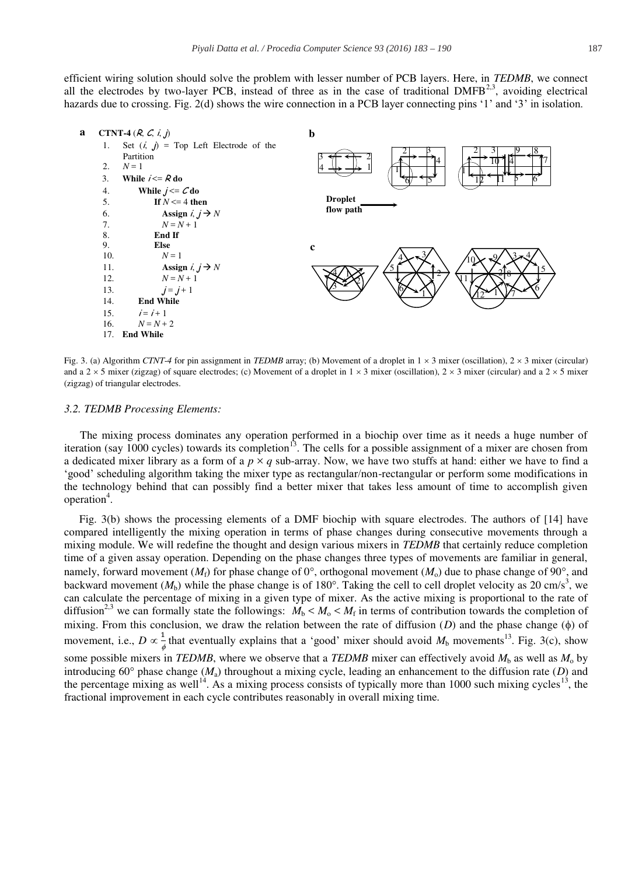

Fig. 3. (a) Algorithm *CTNT-4* for pin assignment in *TEDMB* array; (b) Movement of a droplet in  $1 \times 3$  mixer (oscillation),  $2 \times 3$  mixer (circular) and a 2  $\times$  5 mixer (zigzag) of square electrodes; (c) Movement of a droplet in 1  $\times$  3 mixer (oscillation), 2  $\times$  3 mixer (circular) and a 2  $\times$  5 mixer (zigzag) of triangular electrodes.

#### *3.2. TEDMB Processing Elements:*

The mixing process dominates any operation performed in a biochip over time as it needs a huge number of iteration (say  $1000$  cycles) towards its completion<sup>13</sup>. The cells for a possible assignment of a mixer are chosen from a dedicated mixer library as a form of a  $p \times q$  sub-array. Now, we have two stuffs at hand: either we have to find a 'good' scheduling algorithm taking the mixer type as rectangular/non-rectangular or perform some modifications in the technology behind that can possibly find a better mixer that takes less amount of time to accomplish given operation<sup>4</sup>.

Fig. 3(b) shows the processing elements of a DMF biochip with square electrodes. The authors of [14] have compared intelligently the mixing operation in terms of phase changes during consecutive movements through a mixing module. We will redefine the thought and design various mixers in *TEDMB* that certainly reduce completion time of a given assay operation. Depending on the phase changes three types of movements are familiar in general, namely, forward movement  $(M_f)$  for phase change of 0°, orthogonal movement  $(M_o)$  due to phase change of 90°, and backward movement  $(M_b)$  while the phase change is of 180 $^{\circ}$ . Taking the cell to cell droplet velocity as 20 cm/s<sup>3</sup>, we can calculate the percentage of mixing in a given type of mixer. As the active mixing is proportional to the rate of diffusion<sup>2,3</sup> we can formally state the followings:  $M_b < M_o < M_f$  in terms of contribution towards the completion of mixing. From this conclusion, we draw the relation between the rate of diffusion  $(D)$  and the phase change  $(\phi)$  of movement, i.e.,  $D \propto \frac{1}{\phi}$  that eventually explains that a 'good' mixer should avoid  $M_b$  movements<sup>13</sup>. Fig. 3(c), show some possible mixers in *TEDMB*, where we observe that a *TEDMB* mixer can effectively avoid  $M<sub>b</sub>$  as well as  $M<sub>o</sub>$  by introducing  $60^{\circ}$  phase change ( $M_a$ ) throughout a mixing cycle, leading an enhancement to the diffusion rate (*D*) and the percentage mixing as well<sup>14</sup>. As a mixing process consists of typically more than 1000 such mixing cycles<sup>13</sup>, the fractional improvement in each cycle contributes reasonably in overall mixing time.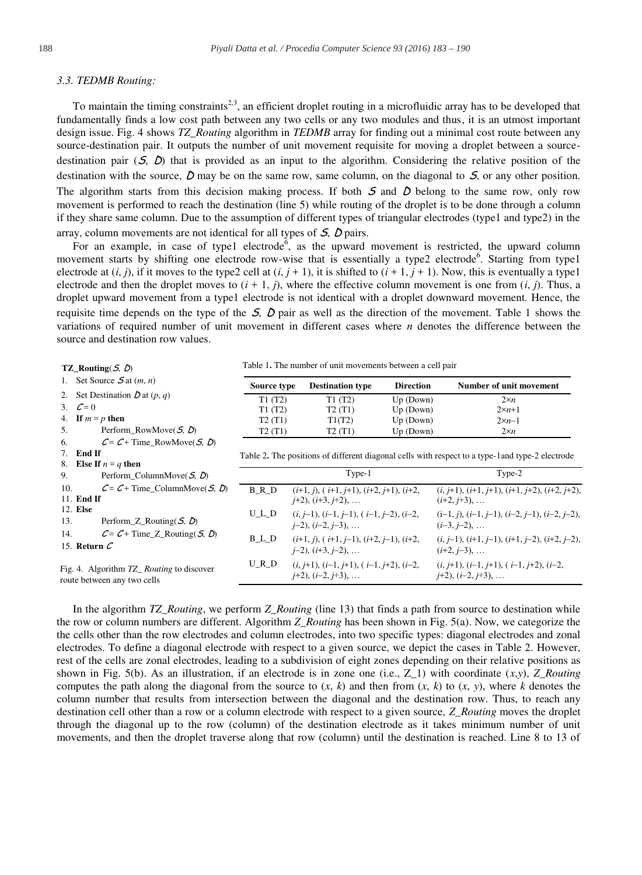#### *3.3. TEDMB Routing:*

To maintain the timing constraints<sup>2,3</sup>, an efficient droplet routing in a microfluidic array has to be developed that fundamentally finds a low cost path between any two cells or any two modules and thus, it is an utmost important design issue. Fig. 4 shows *TZ\_Routing* algorithm in *TEDMB* array for finding out a minimal cost route between any source-destination pair. It outputs the number of unit movement requisite for moving a droplet between a sourcedestination pair  $(5, 0)$  that is provided as an input to the algorithm. Considering the relative position of the destination with the source,  $\hat{D}$  may be on the same row, same column, on the diagonal to  $\hat{S}$ , or any other position. The algorithm starts from this decision making process. If both  $S$  and  $D$  belong to the same row, only row movement is performed to reach the destination (line 5) while routing of the droplet is to be done through a column if they share same column. Due to the assumption of different types of triangular electrodes (type1 and type2) in the array, column movements are not identical for all types of  $S$ ,  $D$  pairs.

For an example, in case of type1 electrode<sup>6</sup>, as the upward movement is restricted, the upward column movement starts by shifting one electrode row-wise that is essentially a type2 electrode<sup>6</sup>. Starting from type1 electrode at  $(i, j)$ , if it moves to the type2 cell at  $(i, j + 1)$ , it is shifted to  $(i + 1, j + 1)$ . Now, this is eventually a type1 electrode and then the droplet moves to  $(i + 1, j)$ , where the effective column movement is one from  $(i, j)$ . Thus, a droplet upward movement from a type1 electrode is not identical with a droplet downward movement. Hence, the requisite time depends on the type of the  $S$ ,  $D$  pair as well as the direction of the movement. Table 1 shows the variations of required number of unit movement in different cases where *n* denotes the difference between the source and destination row values.

| TZ_Routing( $S, D$ )                                    | Table 1. The number of unit movements between a cell pair |                                                                                   |                  |                                                                                                  |  |
|---------------------------------------------------------|-----------------------------------------------------------|-----------------------------------------------------------------------------------|------------------|--------------------------------------------------------------------------------------------------|--|
| 1. Set Source $\mathcal{S}_{\text{at}}(m, n)$           | Source type                                               | <b>Destination type</b>                                                           | <b>Direction</b> | Number of unit movement                                                                          |  |
| 2. Set Destination $D$ at $(p, q)$                      | T1(T2)                                                    | T1(T2)                                                                            | Up (Down)        | $2\times n$                                                                                      |  |
| 3. $C=0$                                                | T1(T2)                                                    | T2(T1)                                                                            | Up (Down)        | $2\times n+1$                                                                                    |  |
| 4. If $m = p$ then                                      | T2(T1)                                                    | T1(T2)                                                                            | Up (Down)        | $2\times n-1$                                                                                    |  |
| Perform_RowMove $(5, D)$<br>5.                          | T2(T1)                                                    | T2(T1)                                                                            | Up (Down)        | $2\times n$                                                                                      |  |
| $C = C +$ Time RowMove(S, D)<br>6.                      |                                                           |                                                                                   |                  |                                                                                                  |  |
| 7. End If                                               |                                                           |                                                                                   |                  | Table 2. The positions of different diagonal cells with respect to a type-1 and type-2 electrode |  |
| Else If $n = q$ then<br>8.                              |                                                           |                                                                                   |                  |                                                                                                  |  |
| 9.<br>Perform ColumnMove( $S$ , $D$ )                   |                                                           | Type-1                                                                            |                  | Type-2                                                                                           |  |
| $C = C +$ Time ColumnMove( <i>S</i> , <i>D</i> )<br>10. | B R D                                                     | $(i+1, j)$ , $(i+1, j+1)$ , $(i+2, j+1)$ , $(i+2, j+2)$                           |                  | $(i, j+1), (i+1, j+1), (i+1, j+2), (i+2, j+2),$                                                  |  |
| 11. End If                                              |                                                           | $(i+2)$ , $(i+3, i+2)$ ,                                                          |                  | $(i+2, i+3), \ldots$                                                                             |  |
| 12. Else                                                | $U_L_D$                                                   | $(i, j-1), (i-1, j-1), (i-1, j-2), (i-2, j)$                                      |                  | $(i-1, j), (i-1, j-1), (i-2, j-1), (i-2, j-2),$                                                  |  |
| 13.<br>Perform_Z_Routing( $S$ , $D$ )                   |                                                           | $(i-2), (i-2, i-3), \ldots$                                                       |                  | $(i-3, i-2), \ldots$                                                                             |  |
| $C = C + Time\_Z_R$ Routing( $S, D$ )<br>14.            | $B_L_D$                                                   |                                                                                   |                  | $(i, j-1), (i+1, j-1), (i+1, j-2), (i+2, j-2),$                                                  |  |
| 15. Return $C$                                          |                                                           | $(i+1, j)$ , $(i+1, j-1)$ , $(i+2, j-1)$ , $(i+2, j)$<br>$(i+2)$ , $(i+3, i-2)$ , |                  | $(i+2, i-3), \ldots$                                                                             |  |
| Fig. 4. Algorithm T7. Routing to discover               | URD                                                       | $(i, i+1), (i-1, i+1), (i-1, i+2), (i-2,$                                         |                  | $(i, j+1), (i-1, j+1), (i-1, j+2), (i-2, j)$                                                     |  |

Fig. 4. Algorithm *TZ\_ Routing* to discover route between any two cells

In the algorithm *TZ\_Routing*, we perform *Z\_Routing* (line 13) that finds a path from source to destination while the row or column numbers are different. Algorithm *Z\_Routing* has been shown in Fig. 5(a). Now, we categorize the the cells other than the row electrodes and column electrodes, into two specific types: diagonal electrodes and zonal electrodes. To define a diagonal electrode with respect to a given source, we depict the cases in Table 2. However, rest of the cells are zonal electrodes, leading to a subdivision of eight zones depending on their relative positions as shown in Fig. 5(b). As an illustration, if an electrode is in zone one (i.e.,  $Z_1$ ) with coordinate  $(x,y)$ ,  $Z_1$  Routing computes the path along the diagonal from the source to  $(x, k)$  and then from  $(x, k)$  to  $(x, y)$ , where  $k$  denotes the column number that results from intersection between the diagonal and the destination row. Thus, to reach any destination cell other than a row or a column electrode with respect to a given source, *Z\_Routing* moves the droplet through the diagonal up to the row (column) of the destination electrode as it takes minimum number of unit movements, and then the droplet traverse along that row (column) until the destination is reached. Line 8 to 13 of

 $(i+2)$ ,  $(i-2, i+3)$ , ...

 $(i+2)$ ,  $(i-2, j+3)$ , ...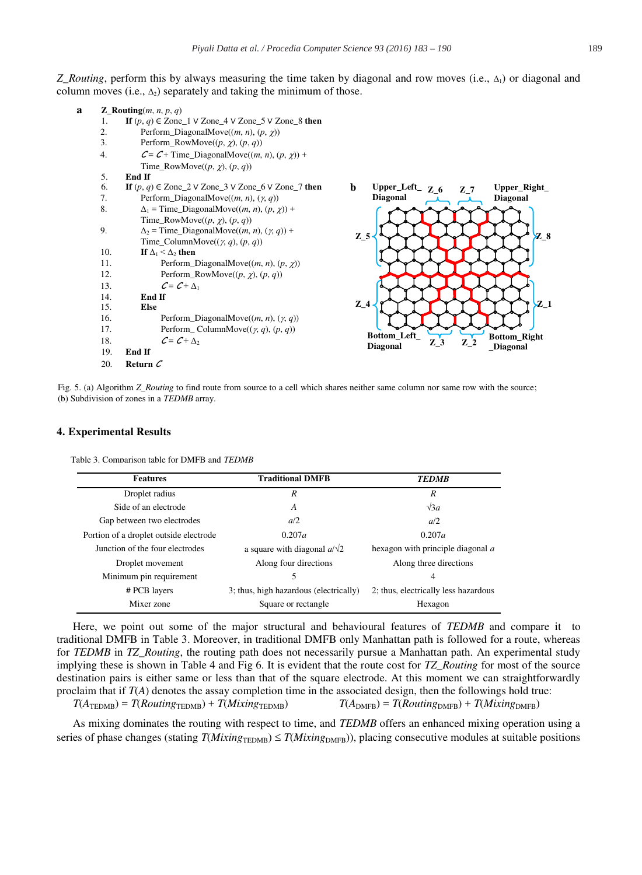*Z\_Routing*, perform this by always measuring the time taken by diagonal and row moves (i.e., Δ<sub>1</sub>) or diagonal and column moves (i.e.,  $\Delta_2$ ) separately and taking the minimum of those.



Fig. 5. (a) Algorithm *Z\_Routing* to find route from source to a cell which shares neither same column nor same row with the source; (b) Subdivision of zones in a *TEDMB* array.

#### **4. Experimental Results**

Table 3. Comparison table for DMFB and *TEDMB*

| <b>Features</b>                        | <b>Traditional DMFB</b>                | <b>TEDMB</b>                         |  |
|----------------------------------------|----------------------------------------|--------------------------------------|--|
| Droplet radius                         | R                                      | R                                    |  |
| Side of an electrode                   | A                                      | $\sqrt{3}a$                          |  |
| Gap between two electrodes             | a/2                                    | a/2                                  |  |
| Portion of a droplet outside electrode | 0.207a                                 | 0.207a                               |  |
| Junction of the four electrodes        | a square with diagonal $a/\sqrt{2}$    | hexagon with principle diagonal $a$  |  |
| Droplet movement                       | Along four directions                  | Along three directions               |  |
| Minimum pin requirement                | 5                                      | 4                                    |  |
| # PCB layers                           | 3; thus, high hazardous (electrically) | 2; thus, electrically less hazardous |  |
| Mixer zone                             | Square or rectangle                    | Hexagon                              |  |

Here, we point out some of the major structural and behavioural features of *TEDMB* and compare it to traditional DMFB in Table 3. Moreover, in traditional DMFB only Manhattan path is followed for a route, whereas for *TEDMB* in *TZ\_Routing*, the routing path does not necessarily pursue a Manhattan path. An experimental study implying these is shown in Table 4 and Fig 6. It is evident that the route cost for *TZ\_Routing* for most of the source destination pairs is either same or less than that of the square electrode. At this moment we can straightforwardly proclaim that if *T*(*A*) denotes the assay completion time in the associated design, then the followings hold true:  $T(A_{\text{TEDMB}}) = T(Routing_{\text{TEDMB}}) + T(Mixing_{\text{TEDMB}})$   $T(A_{\text{DMFB}}) = T(Routing_{\text{DMFB}}) + T(Mixing_{\text{DMFB}})$ 

As mixing dominates the routing with respect to time, and *TEDMB* offers an enhanced mixing operation using a series of phase changes (stating  $T(Mixing_{\text{TFDMF}}) \leq T(Mixing_{\text{DMFR}})$ ), placing consecutive modules at suitable positions